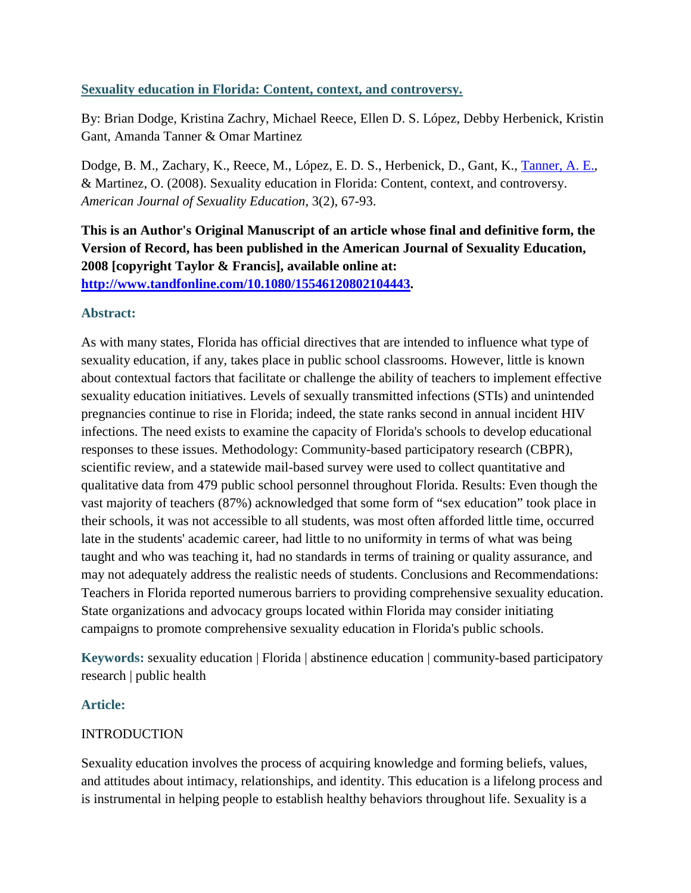## **Sexuality education in Florida: Content, context, and controversy.**

By: Brian Dodge, Kristina Zachry, Michael Reece, Ellen D. S. López, Debby Herbenick, Kristin Gant, Amanda Tanner & Omar Martinez

Dodge, B. M., Zachary, K., Reece, M., López, E. D. S., Herbenick, D., Gant, K., [Tanner, A. E.,](http://libres.uncg.edu/ir/uncg/clist.aspx?id=7746) & Martinez, O. (2008). Sexuality education in Florida: Content, context, and controversy. *American Journal of Sexuality Education,* 3(2), 67-93.

**This is an Author's Original Manuscript of an article whose final and definitive form, the Version of Record, has been published in the American Journal of Sexuality Education, 2008 [copyright Taylor & Francis], available online at: [http://www.tandfonline.com/10.1080/15546120802104443.](http://www.tandfonline.com/10.1080/15546120802104443)**

## **Abstract:**

As with many states, Florida has official directives that are intended to influence what type of sexuality education, if any, takes place in public school classrooms. However, little is known about contextual factors that facilitate or challenge the ability of teachers to implement effective sexuality education initiatives. Levels of sexually transmitted infections (STIs) and unintended pregnancies continue to rise in Florida; indeed, the state ranks second in annual incident HIV infections. The need exists to examine the capacity of Florida's schools to develop educational responses to these issues. Methodology: Community-based participatory research (CBPR), scientific review, and a statewide mail-based survey were used to collect quantitative and qualitative data from 479 public school personnel throughout Florida. Results: Even though the vast majority of teachers (87%) acknowledged that some form of "sex education" took place in their schools, it was not accessible to all students, was most often afforded little time, occurred late in the students' academic career, had little to no uniformity in terms of what was being taught and who was teaching it, had no standards in terms of training or quality assurance, and may not adequately address the realistic needs of students. Conclusions and Recommendations: Teachers in Florida reported numerous barriers to providing comprehensive sexuality education. State organizations and advocacy groups located within Florida may consider initiating campaigns to promote comprehensive sexuality education in Florida's public schools.

**Keywords:** sexuality education | Florida | abstinence education | community-based participatory research | public health

# **Article:**

# INTRODUCTION

Sexuality education involves the process of acquiring knowledge and forming beliefs, values, and attitudes about intimacy, relationships, and identity. This education is a lifelong process and is instrumental in helping people to establish healthy behaviors throughout life. Sexuality is a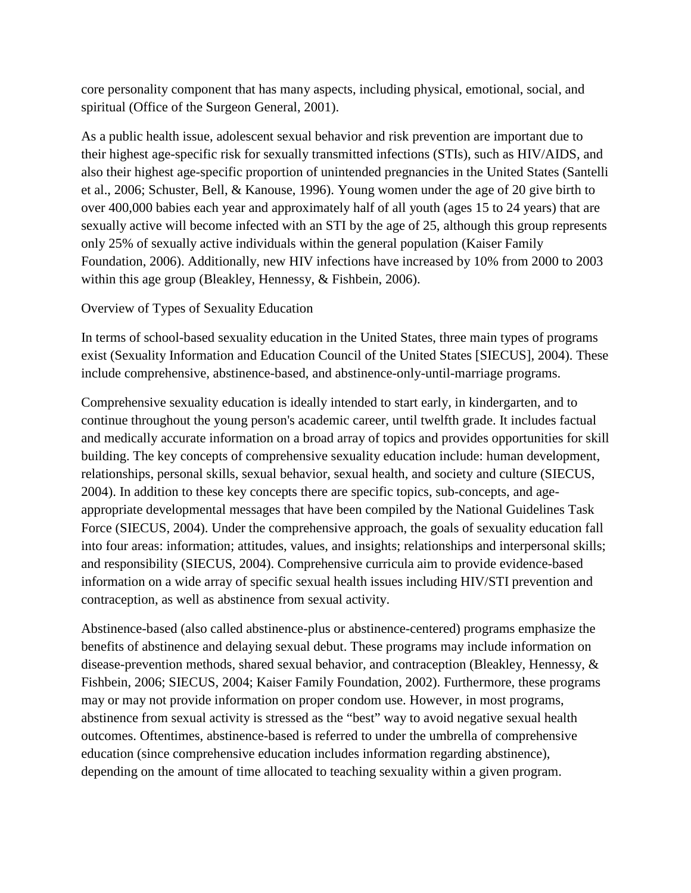core personality component that has many aspects, including physical, emotional, social, and spiritual (Office of the Surgeon General, 2001).

As a public health issue, adolescent sexual behavior and risk prevention are important due to their highest age-specific risk for sexually transmitted infections (STIs), such as HIV/AIDS, and also their highest age-specific proportion of unintended pregnancies in the United States (Santelli et al., 2006; Schuster, Bell, & Kanouse, 1996). Young women under the age of 20 give birth to over 400,000 babies each year and approximately half of all youth (ages 15 to 24 years) that are sexually active will become infected with an STI by the age of 25, although this group represents only 25% of sexually active individuals within the general population (Kaiser Family Foundation, 2006). Additionally, new HIV infections have increased by 10% from 2000 to 2003 within this age group (Bleakley, Hennessy, & Fishbein, 2006).

Overview of Types of Sexuality Education

In terms of school-based sexuality education in the United States, three main types of programs exist (Sexuality Information and Education Council of the United States [SIECUS], 2004). These include comprehensive, abstinence-based, and abstinence-only-until-marriage programs.

Comprehensive sexuality education is ideally intended to start early, in kindergarten, and to continue throughout the young person's academic career, until twelfth grade. It includes factual and medically accurate information on a broad array of topics and provides opportunities for skill building. The key concepts of comprehensive sexuality education include: human development, relationships, personal skills, sexual behavior, sexual health, and society and culture (SIECUS, 2004). In addition to these key concepts there are specific topics, sub-concepts, and ageappropriate developmental messages that have been compiled by the National Guidelines Task Force (SIECUS, 2004). Under the comprehensive approach, the goals of sexuality education fall into four areas: information; attitudes, values, and insights; relationships and interpersonal skills; and responsibility (SIECUS, 2004). Comprehensive curricula aim to provide evidence-based information on a wide array of specific sexual health issues including HIV/STI prevention and contraception, as well as abstinence from sexual activity.

Abstinence-based (also called abstinence-plus or abstinence-centered) programs emphasize the benefits of abstinence and delaying sexual debut. These programs may include information on disease-prevention methods, shared sexual behavior, and contraception (Bleakley, Hennessy, & Fishbein, 2006; SIECUS, 2004; Kaiser Family Foundation, 2002). Furthermore, these programs may or may not provide information on proper condom use. However, in most programs, abstinence from sexual activity is stressed as the "best" way to avoid negative sexual health outcomes. Oftentimes, abstinence-based is referred to under the umbrella of comprehensive education (since comprehensive education includes information regarding abstinence), depending on the amount of time allocated to teaching sexuality within a given program.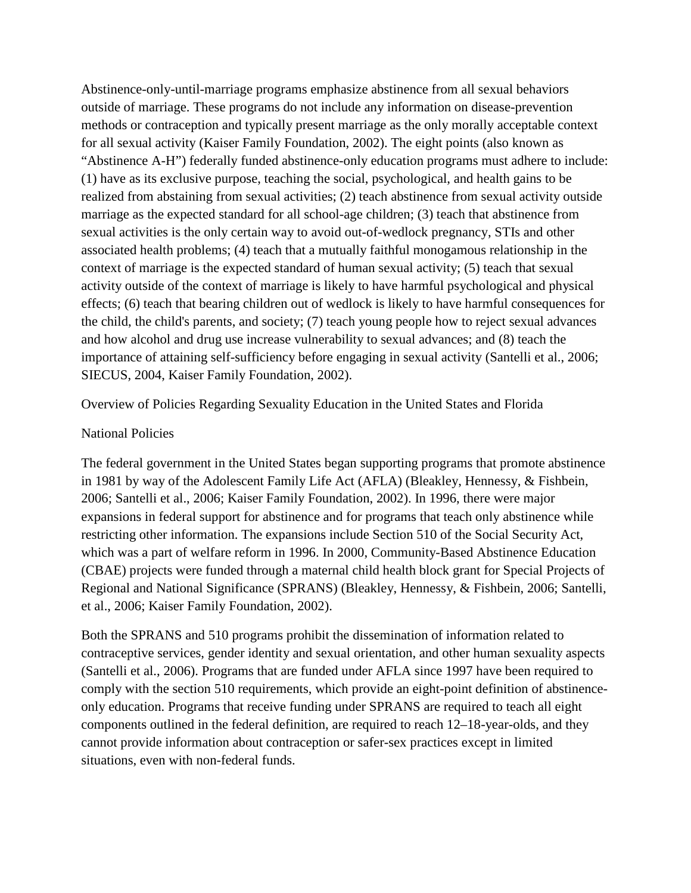Abstinence-only-until-marriage programs emphasize abstinence from all sexual behaviors outside of marriage. These programs do not include any information on disease-prevention methods or contraception and typically present marriage as the only morally acceptable context for all sexual activity (Kaiser Family Foundation, 2002). The eight points (also known as "Abstinence A-H") federally funded abstinence-only education programs must adhere to include: (1) have as its exclusive purpose, teaching the social, psychological, and health gains to be realized from abstaining from sexual activities; (2) teach abstinence from sexual activity outside marriage as the expected standard for all school-age children; (3) teach that abstinence from sexual activities is the only certain way to avoid out-of-wedlock pregnancy, STIs and other associated health problems; (4) teach that a mutually faithful monogamous relationship in the context of marriage is the expected standard of human sexual activity; (5) teach that sexual activity outside of the context of marriage is likely to have harmful psychological and physical effects; (6) teach that bearing children out of wedlock is likely to have harmful consequences for the child, the child's parents, and society; (7) teach young people how to reject sexual advances and how alcohol and drug use increase vulnerability to sexual advances; and (8) teach the importance of attaining self-sufficiency before engaging in sexual activity (Santelli et al., 2006; SIECUS, 2004, Kaiser Family Foundation, 2002).

Overview of Policies Regarding Sexuality Education in the United States and Florida

#### National Policies

The federal government in the United States began supporting programs that promote abstinence in 1981 by way of the Adolescent Family Life Act (AFLA) (Bleakley, Hennessy, & Fishbein, 2006; Santelli et al., 2006; Kaiser Family Foundation, 2002). In 1996, there were major expansions in federal support for abstinence and for programs that teach only abstinence while restricting other information. The expansions include Section 510 of the Social Security Act, which was a part of welfare reform in 1996. In 2000, Community-Based Abstinence Education (CBAE) projects were funded through a maternal child health block grant for Special Projects of Regional and National Significance (SPRANS) (Bleakley, Hennessy, & Fishbein, 2006; Santelli, et al., 2006; Kaiser Family Foundation, 2002).

Both the SPRANS and 510 programs prohibit the dissemination of information related to contraceptive services, gender identity and sexual orientation, and other human sexuality aspects (Santelli et al., 2006). Programs that are funded under AFLA since 1997 have been required to comply with the section 510 requirements, which provide an eight-point definition of abstinenceonly education. Programs that receive funding under SPRANS are required to teach all eight components outlined in the federal definition, are required to reach 12–18-year-olds, and they cannot provide information about contraception or safer-sex practices except in limited situations, even with non-federal funds.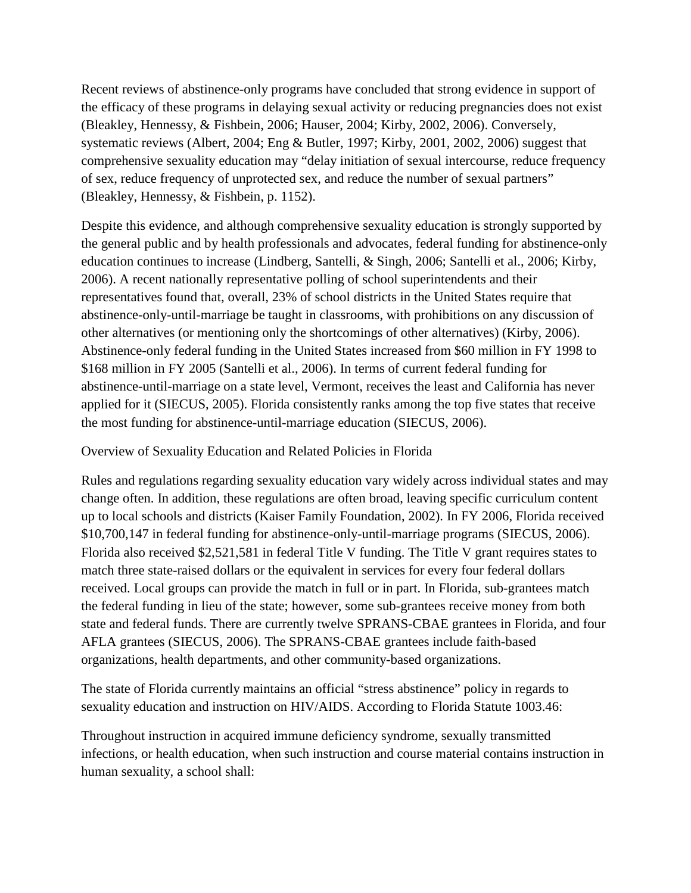Recent reviews of abstinence-only programs have concluded that strong evidence in support of the efficacy of these programs in delaying sexual activity or reducing pregnancies does not exist (Bleakley, Hennessy, & Fishbein, 2006; Hauser, 2004; Kirby, 2002, 2006). Conversely, systematic reviews (Albert, 2004; Eng & Butler, 1997; Kirby, 2001, 2002, 2006) suggest that comprehensive sexuality education may "delay initiation of sexual intercourse, reduce frequency of sex, reduce frequency of unprotected sex, and reduce the number of sexual partners" (Bleakley, Hennessy, & Fishbein, p. 1152).

Despite this evidence, and although comprehensive sexuality education is strongly supported by the general public and by health professionals and advocates, federal funding for abstinence-only education continues to increase (Lindberg, Santelli, & Singh, 2006; Santelli et al., 2006; Kirby, 2006). A recent nationally representative polling of school superintendents and their representatives found that, overall, 23% of school districts in the United States require that abstinence-only-until-marriage be taught in classrooms, with prohibitions on any discussion of other alternatives (or mentioning only the shortcomings of other alternatives) (Kirby, 2006). Abstinence-only federal funding in the United States increased from \$60 million in FY 1998 to \$168 million in FY 2005 (Santelli et al., 2006). In terms of current federal funding for abstinence-until-marriage on a state level, Vermont, receives the least and California has never applied for it (SIECUS, 2005). Florida consistently ranks among the top five states that receive the most funding for abstinence-until-marriage education (SIECUS, 2006).

Overview of Sexuality Education and Related Policies in Florida

Rules and regulations regarding sexuality education vary widely across individual states and may change often. In addition, these regulations are often broad, leaving specific curriculum content up to local schools and districts (Kaiser Family Foundation, 2002). In FY 2006, Florida received \$10,700,147 in federal funding for abstinence-only-until-marriage programs (SIECUS, 2006). Florida also received \$2,521,581 in federal Title V funding. The Title V grant requires states to match three state-raised dollars or the equivalent in services for every four federal dollars received. Local groups can provide the match in full or in part. In Florida, sub-grantees match the federal funding in lieu of the state; however, some sub-grantees receive money from both state and federal funds. There are currently twelve SPRANS-CBAE grantees in Florida, and four AFLA grantees (SIECUS, 2006). The SPRANS-CBAE grantees include faith-based organizations, health departments, and other community-based organizations.

The state of Florida currently maintains an official "stress abstinence" policy in regards to sexuality education and instruction on HIV/AIDS. According to Florida Statute 1003.46:

Throughout instruction in acquired immune deficiency syndrome, sexually transmitted infections, or health education, when such instruction and course material contains instruction in human sexuality, a school shall: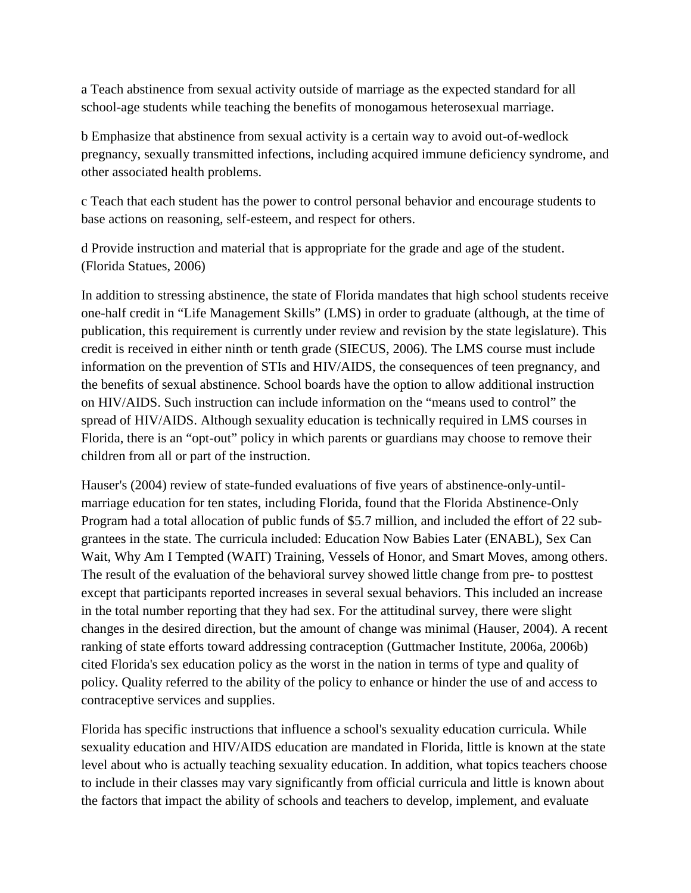a Teach abstinence from sexual activity outside of marriage as the expected standard for all school-age students while teaching the benefits of monogamous heterosexual marriage.

b Emphasize that abstinence from sexual activity is a certain way to avoid out-of-wedlock pregnancy, sexually transmitted infections, including acquired immune deficiency syndrome, and other associated health problems.

c Teach that each student has the power to control personal behavior and encourage students to base actions on reasoning, self-esteem, and respect for others.

d Provide instruction and material that is appropriate for the grade and age of the student. (Florida Statues, 2006)

In addition to stressing abstinence, the state of Florida mandates that high school students receive one-half credit in "Life Management Skills" (LMS) in order to graduate (although, at the time of publication, this requirement is currently under review and revision by the state legislature). This credit is received in either ninth or tenth grade (SIECUS, 2006). The LMS course must include information on the prevention of STIs and HIV/AIDS, the consequences of teen pregnancy, and the benefits of sexual abstinence. School boards have the option to allow additional instruction on HIV/AIDS. Such instruction can include information on the "means used to control" the spread of HIV/AIDS. Although sexuality education is technically required in LMS courses in Florida, there is an "opt-out" policy in which parents or guardians may choose to remove their children from all or part of the instruction.

Hauser's (2004) review of state-funded evaluations of five years of abstinence-only-untilmarriage education for ten states, including Florida, found that the Florida Abstinence-Only Program had a total allocation of public funds of \$5.7 million, and included the effort of 22 subgrantees in the state. The curricula included: Education Now Babies Later (ENABL), Sex Can Wait, Why Am I Tempted (WAIT) Training, Vessels of Honor, and Smart Moves, among others. The result of the evaluation of the behavioral survey showed little change from pre- to posttest except that participants reported increases in several sexual behaviors. This included an increase in the total number reporting that they had sex. For the attitudinal survey, there were slight changes in the desired direction, but the amount of change was minimal (Hauser, 2004). A recent ranking of state efforts toward addressing contraception (Guttmacher Institute, 2006a, 2006b) cited Florida's sex education policy as the worst in the nation in terms of type and quality of policy. Quality referred to the ability of the policy to enhance or hinder the use of and access to contraceptive services and supplies.

Florida has specific instructions that influence a school's sexuality education curricula. While sexuality education and HIV/AIDS education are mandated in Florida, little is known at the state level about who is actually teaching sexuality education. In addition, what topics teachers choose to include in their classes may vary significantly from official curricula and little is known about the factors that impact the ability of schools and teachers to develop, implement, and evaluate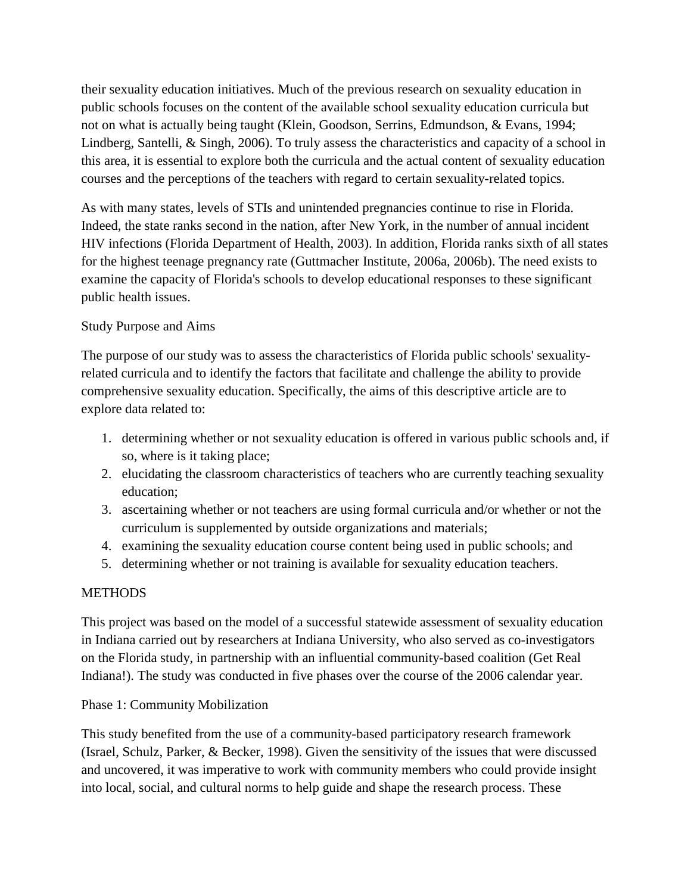their sexuality education initiatives. Much of the previous research on sexuality education in public schools focuses on the content of the available school sexuality education curricula but not on what is actually being taught (Klein, Goodson, Serrins, Edmundson, & Evans, 1994; Lindberg, Santelli, & Singh, 2006). To truly assess the characteristics and capacity of a school in this area, it is essential to explore both the curricula and the actual content of sexuality education courses and the perceptions of the teachers with regard to certain sexuality-related topics.

As with many states, levels of STIs and unintended pregnancies continue to rise in Florida. Indeed, the state ranks second in the nation, after New York, in the number of annual incident HIV infections (Florida Department of Health, 2003). In addition, Florida ranks sixth of all states for the highest teenage pregnancy rate (Guttmacher Institute, 2006a, 2006b). The need exists to examine the capacity of Florida's schools to develop educational responses to these significant public health issues.

## Study Purpose and Aims

The purpose of our study was to assess the characteristics of Florida public schools' sexualityrelated curricula and to identify the factors that facilitate and challenge the ability to provide comprehensive sexuality education. Specifically, the aims of this descriptive article are to explore data related to:

- 1. determining whether or not sexuality education is offered in various public schools and, if so, where is it taking place;
- 2. elucidating the classroom characteristics of teachers who are currently teaching sexuality education;
- 3. ascertaining whether or not teachers are using formal curricula and/or whether or not the curriculum is supplemented by outside organizations and materials;
- 4. examining the sexuality education course content being used in public schools; and
- 5. determining whether or not training is available for sexuality education teachers.

## **METHODS**

This project was based on the model of a successful statewide assessment of sexuality education in Indiana carried out by researchers at Indiana University, who also served as co-investigators on the Florida study, in partnership with an influential community-based coalition (Get Real Indiana!). The study was conducted in five phases over the course of the 2006 calendar year.

## Phase 1: Community Mobilization

This study benefited from the use of a community-based participatory research framework (Israel, Schulz, Parker, & Becker, 1998). Given the sensitivity of the issues that were discussed and uncovered, it was imperative to work with community members who could provide insight into local, social, and cultural norms to help guide and shape the research process. These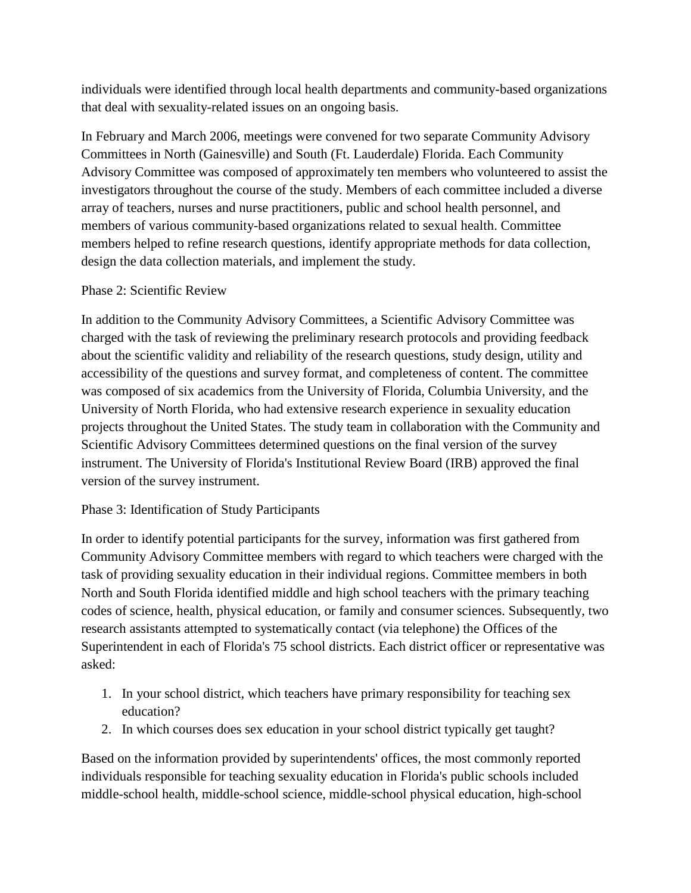individuals were identified through local health departments and community-based organizations that deal with sexuality-related issues on an ongoing basis.

In February and March 2006, meetings were convened for two separate Community Advisory Committees in North (Gainesville) and South (Ft. Lauderdale) Florida. Each Community Advisory Committee was composed of approximately ten members who volunteered to assist the investigators throughout the course of the study. Members of each committee included a diverse array of teachers, nurses and nurse practitioners, public and school health personnel, and members of various community-based organizations related to sexual health. Committee members helped to refine research questions, identify appropriate methods for data collection, design the data collection materials, and implement the study.

## Phase 2: Scientific Review

In addition to the Community Advisory Committees, a Scientific Advisory Committee was charged with the task of reviewing the preliminary research protocols and providing feedback about the scientific validity and reliability of the research questions, study design, utility and accessibility of the questions and survey format, and completeness of content. The committee was composed of six academics from the University of Florida, Columbia University, and the University of North Florida, who had extensive research experience in sexuality education projects throughout the United States. The study team in collaboration with the Community and Scientific Advisory Committees determined questions on the final version of the survey instrument. The University of Florida's Institutional Review Board (IRB) approved the final version of the survey instrument.

## Phase 3: Identification of Study Participants

In order to identify potential participants for the survey, information was first gathered from Community Advisory Committee members with regard to which teachers were charged with the task of providing sexuality education in their individual regions. Committee members in both North and South Florida identified middle and high school teachers with the primary teaching codes of science, health, physical education, or family and consumer sciences. Subsequently, two research assistants attempted to systematically contact (via telephone) the Offices of the Superintendent in each of Florida's 75 school districts. Each district officer or representative was asked:

- 1. In your school district, which teachers have primary responsibility for teaching sex education?
- 2. In which courses does sex education in your school district typically get taught?

Based on the information provided by superintendents' offices, the most commonly reported individuals responsible for teaching sexuality education in Florida's public schools included middle-school health, middle-school science, middle-school physical education, high-school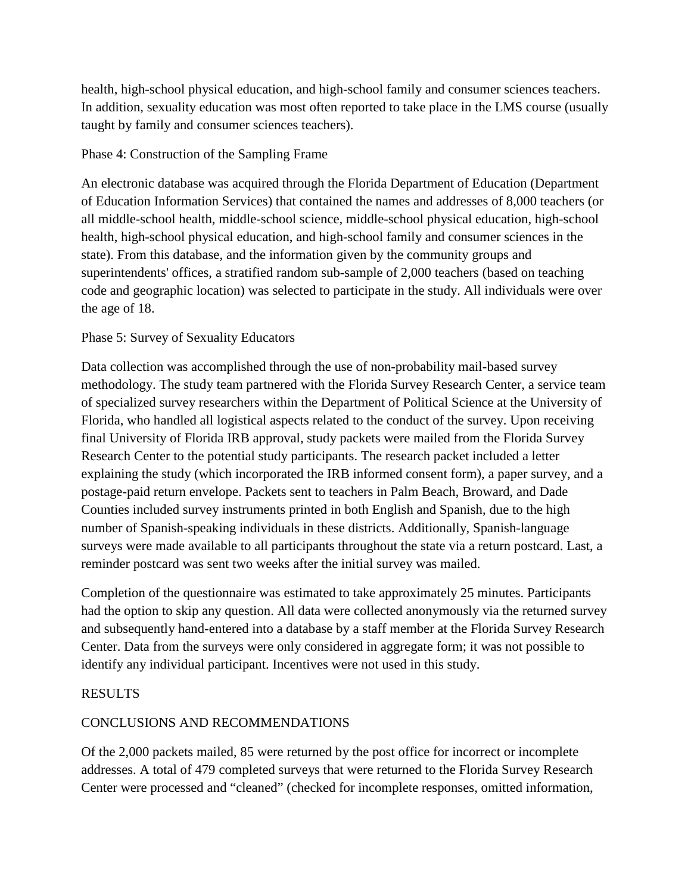health, high-school physical education, and high-school family and consumer sciences teachers. In addition, sexuality education was most often reported to take place in the LMS course (usually taught by family and consumer sciences teachers).

## Phase 4: Construction of the Sampling Frame

An electronic database was acquired through the Florida Department of Education (Department of Education Information Services) that contained the names and addresses of 8,000 teachers (or all middle-school health, middle-school science, middle-school physical education, high-school health, high-school physical education, and high-school family and consumer sciences in the state). From this database, and the information given by the community groups and superintendents' offices, a stratified random sub-sample of 2,000 teachers (based on teaching code and geographic location) was selected to participate in the study. All individuals were over the age of 18.

## Phase 5: Survey of Sexuality Educators

Data collection was accomplished through the use of non-probability mail-based survey methodology. The study team partnered with the Florida Survey Research Center, a service team of specialized survey researchers within the Department of Political Science at the University of Florida, who handled all logistical aspects related to the conduct of the survey. Upon receiving final University of Florida IRB approval, study packets were mailed from the Florida Survey Research Center to the potential study participants. The research packet included a letter explaining the study (which incorporated the IRB informed consent form), a paper survey, and a postage-paid return envelope. Packets sent to teachers in Palm Beach, Broward, and Dade Counties included survey instruments printed in both English and Spanish, due to the high number of Spanish-speaking individuals in these districts. Additionally, Spanish-language surveys were made available to all participants throughout the state via a return postcard. Last, a reminder postcard was sent two weeks after the initial survey was mailed.

Completion of the questionnaire was estimated to take approximately 25 minutes. Participants had the option to skip any question. All data were collected anonymously via the returned survey and subsequently hand-entered into a database by a staff member at the Florida Survey Research Center. Data from the surveys were only considered in aggregate form; it was not possible to identify any individual participant. Incentives were not used in this study.

## **RESULTS**

# CONCLUSIONS AND RECOMMENDATIONS

Of the 2,000 packets mailed, 85 were returned by the post office for incorrect or incomplete addresses. A total of 479 completed surveys that were returned to the Florida Survey Research Center were processed and "cleaned" (checked for incomplete responses, omitted information,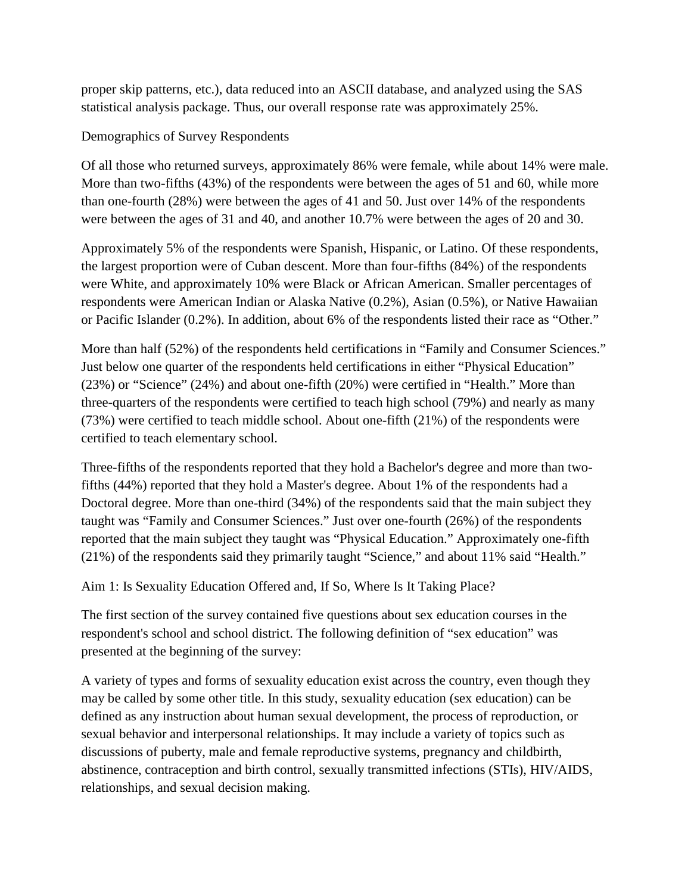proper skip patterns, etc.), data reduced into an ASCII database, and analyzed using the SAS statistical analysis package. Thus, our overall response rate was approximately 25%.

Demographics of Survey Respondents

Of all those who returned surveys, approximately 86% were female, while about 14% were male. More than two-fifths (43%) of the respondents were between the ages of 51 and 60, while more than one-fourth (28%) were between the ages of 41 and 50. Just over 14% of the respondents were between the ages of 31 and 40, and another 10.7% were between the ages of 20 and 30.

Approximately 5% of the respondents were Spanish, Hispanic, or Latino. Of these respondents, the largest proportion were of Cuban descent. More than four-fifths (84%) of the respondents were White, and approximately 10% were Black or African American. Smaller percentages of respondents were American Indian or Alaska Native (0.2%), Asian (0.5%), or Native Hawaiian or Pacific Islander (0.2%). In addition, about 6% of the respondents listed their race as "Other."

More than half (52%) of the respondents held certifications in "Family and Consumer Sciences." Just below one quarter of the respondents held certifications in either "Physical Education" (23%) or "Science" (24%) and about one-fifth (20%) were certified in "Health." More than three-quarters of the respondents were certified to teach high school (79%) and nearly as many (73%) were certified to teach middle school. About one-fifth (21%) of the respondents were certified to teach elementary school.

Three-fifths of the respondents reported that they hold a Bachelor's degree and more than twofifths (44%) reported that they hold a Master's degree. About 1% of the respondents had a Doctoral degree. More than one-third (34%) of the respondents said that the main subject they taught was "Family and Consumer Sciences." Just over one-fourth (26%) of the respondents reported that the main subject they taught was "Physical Education." Approximately one-fifth (21%) of the respondents said they primarily taught "Science," and about 11% said "Health."

Aim 1: Is Sexuality Education Offered and, If So, Where Is It Taking Place?

The first section of the survey contained five questions about sex education courses in the respondent's school and school district. The following definition of "sex education" was presented at the beginning of the survey:

A variety of types and forms of sexuality education exist across the country, even though they may be called by some other title. In this study, sexuality education (sex education) can be defined as any instruction about human sexual development, the process of reproduction, or sexual behavior and interpersonal relationships. It may include a variety of topics such as discussions of puberty, male and female reproductive systems, pregnancy and childbirth, abstinence, contraception and birth control, sexually transmitted infections (STIs), HIV/AIDS, relationships, and sexual decision making.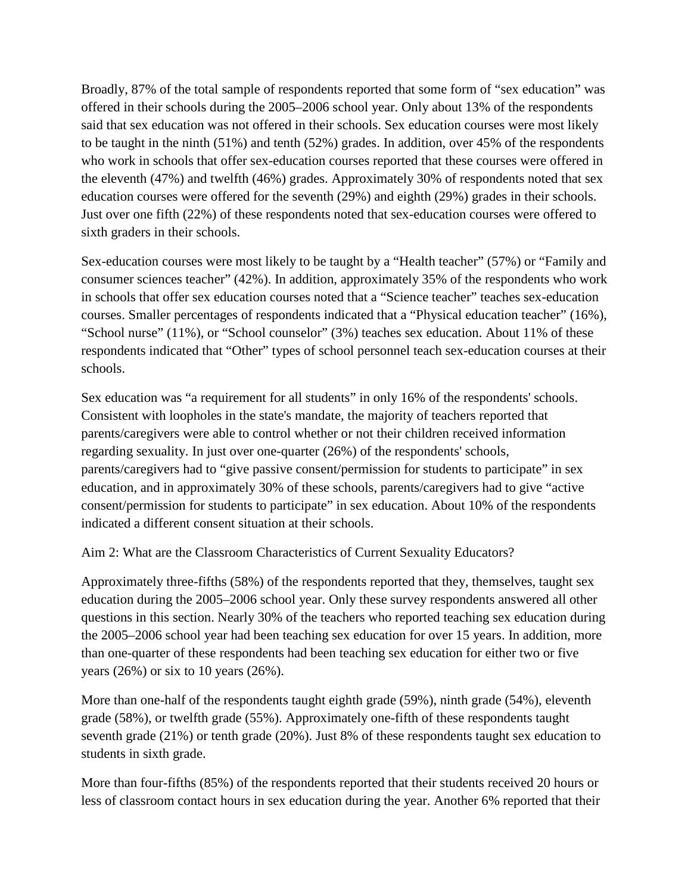Broadly, 87% of the total sample of respondents reported that some form of "sex education" was offered in their schools during the 2005–2006 school year. Only about 13% of the respondents said that sex education was not offered in their schools. Sex education courses were most likely to be taught in the ninth (51%) and tenth (52%) grades. In addition, over 45% of the respondents who work in schools that offer sex-education courses reported that these courses were offered in the eleventh (47%) and twelfth (46%) grades. Approximately 30% of respondents noted that sex education courses were offered for the seventh (29%) and eighth (29%) grades in their schools. Just over one fifth (22%) of these respondents noted that sex-education courses were offered to sixth graders in their schools.

Sex-education courses were most likely to be taught by a "Health teacher" (57%) or "Family and consumer sciences teacher" (42%). In addition, approximately 35% of the respondents who work in schools that offer sex education courses noted that a "Science teacher" teaches sex-education courses. Smaller percentages of respondents indicated that a "Physical education teacher" (16%), "School nurse" (11%), or "School counselor" (3%) teaches sex education. About 11% of these respondents indicated that "Other" types of school personnel teach sex-education courses at their schools.

Sex education was "a requirement for all students" in only 16% of the respondents' schools. Consistent with loopholes in the state's mandate, the majority of teachers reported that parents/caregivers were able to control whether or not their children received information regarding sexuality. In just over one-quarter (26%) of the respondents' schools, parents/caregivers had to "give passive consent/permission for students to participate" in sex education, and in approximately 30% of these schools, parents/caregivers had to give "active consent/permission for students to participate" in sex education. About 10% of the respondents indicated a different consent situation at their schools.

Aim 2: What are the Classroom Characteristics of Current Sexuality Educators?

Approximately three-fifths (58%) of the respondents reported that they, themselves, taught sex education during the 2005–2006 school year. Only these survey respondents answered all other questions in this section. Nearly 30% of the teachers who reported teaching sex education during the 2005–2006 school year had been teaching sex education for over 15 years. In addition, more than one-quarter of these respondents had been teaching sex education for either two or five years  $(26\%)$  or six to 10 years  $(26\%)$ .

More than one-half of the respondents taught eighth grade (59%), ninth grade (54%), eleventh grade (58%), or twelfth grade (55%). Approximately one-fifth of these respondents taught seventh grade (21%) or tenth grade (20%). Just 8% of these respondents taught sex education to students in sixth grade.

More than four-fifths (85%) of the respondents reported that their students received 20 hours or less of classroom contact hours in sex education during the year. Another 6% reported that their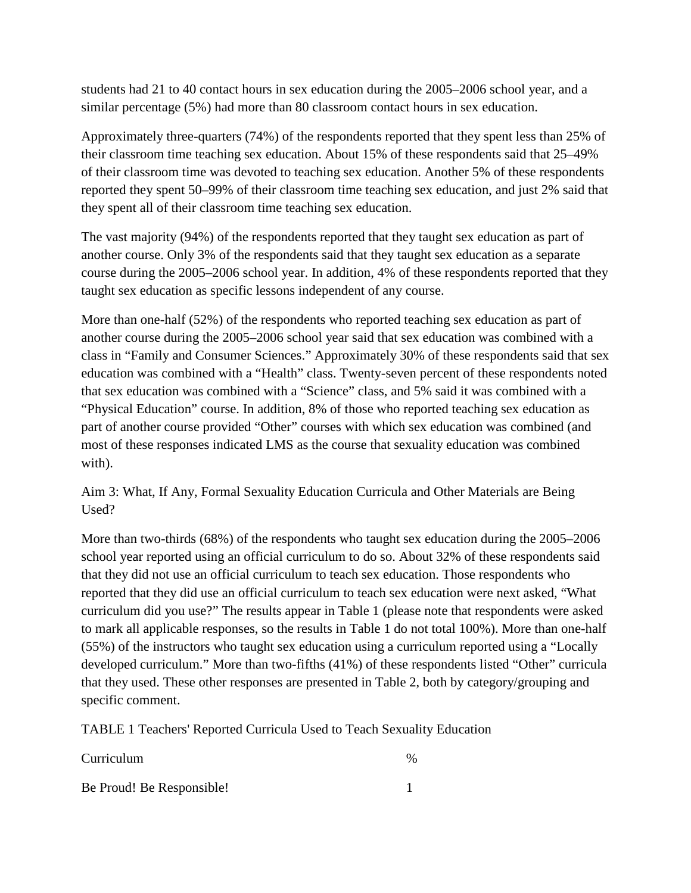students had 21 to 40 contact hours in sex education during the 2005–2006 school year, and a similar percentage (5%) had more than 80 classroom contact hours in sex education.

Approximately three-quarters (74%) of the respondents reported that they spent less than 25% of their classroom time teaching sex education. About 15% of these respondents said that 25–49% of their classroom time was devoted to teaching sex education. Another 5% of these respondents reported they spent 50–99% of their classroom time teaching sex education, and just 2% said that they spent all of their classroom time teaching sex education.

The vast majority (94%) of the respondents reported that they taught sex education as part of another course. Only 3% of the respondents said that they taught sex education as a separate course during the 2005–2006 school year. In addition, 4% of these respondents reported that they taught sex education as specific lessons independent of any course.

More than one-half (52%) of the respondents who reported teaching sex education as part of another course during the 2005–2006 school year said that sex education was combined with a class in "Family and Consumer Sciences." Approximately 30% of these respondents said that sex education was combined with a "Health" class. Twenty-seven percent of these respondents noted that sex education was combined with a "Science" class, and 5% said it was combined with a "Physical Education" course. In addition, 8% of those who reported teaching sex education as part of another course provided "Other" courses with which sex education was combined (and most of these responses indicated LMS as the course that sexuality education was combined with).

Aim 3: What, If Any, Formal Sexuality Education Curricula and Other Materials are Being Used?

More than two-thirds (68%) of the respondents who taught sex education during the 2005–2006 school year reported using an official curriculum to do so. About 32% of these respondents said that they did not use an official curriculum to teach sex education. Those respondents who reported that they did use an official curriculum to teach sex education were next asked, "What curriculum did you use?" The results appear in Table 1 (please note that respondents were asked to mark all applicable responses, so the results in Table 1 do not total 100%). More than one-half (55%) of the instructors who taught sex education using a curriculum reported using a "Locally developed curriculum." More than two-fifths (41%) of these respondents listed "Other" curricula that they used. These other responses are presented in Table 2, both by category/grouping and specific comment.

TABLE 1 Teachers' Reported Curricula Used to Teach Sexuality Education

| Curriculum                | $\%$ |
|---------------------------|------|
| Be Proud! Be Responsible! |      |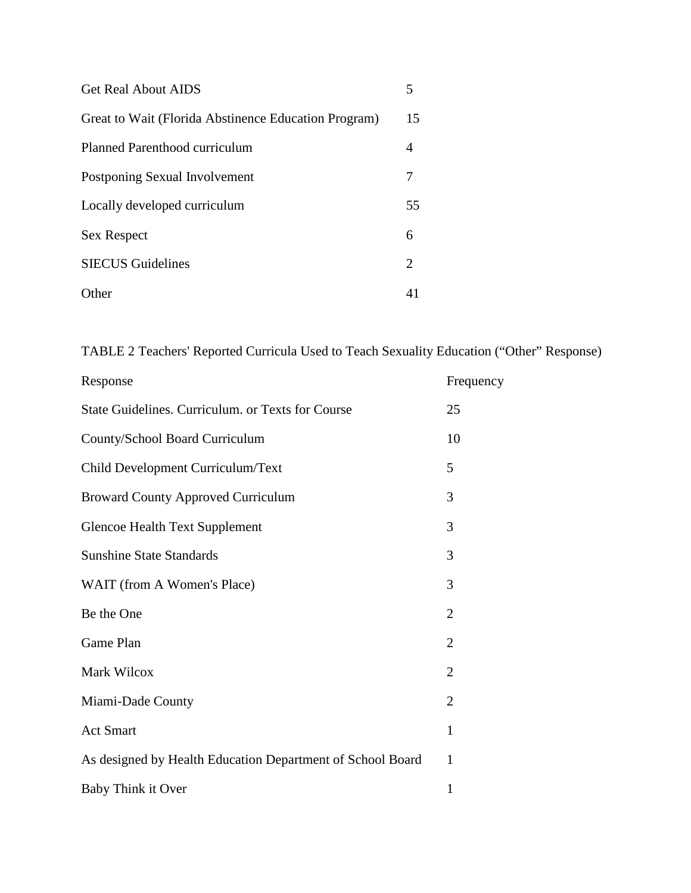| <b>Get Real About AIDS</b>                           |    |
|------------------------------------------------------|----|
| Great to Wait (Florida Abstinence Education Program) | 15 |
| Planned Parenthood curriculum                        | 4  |
| Postponing Sexual Involvement                        | 7  |
| Locally developed curriculum                         | 55 |
| <b>Sex Respect</b>                                   | 6  |
| <b>SIECUS</b> Guidelines                             | 2  |
| Other                                                | 41 |

TABLE 2 Teachers' Reported Curricula Used to Teach Sexuality Education ("Other" Response)

| Response                                                   | Frequency      |
|------------------------------------------------------------|----------------|
| State Guidelines. Curriculum. or Texts for Course          | 25             |
| County/School Board Curriculum                             | 10             |
| Child Development Curriculum/Text                          | 5              |
| <b>Broward County Approved Curriculum</b>                  | 3              |
| <b>Glencoe Health Text Supplement</b>                      | 3              |
| <b>Sunshine State Standards</b>                            | 3              |
| WAIT (from A Women's Place)                                | 3              |
| Be the One                                                 | $\overline{2}$ |
| Game Plan                                                  | $\overline{2}$ |
| Mark Wilcox                                                | $\overline{2}$ |
| Miami-Dade County                                          | $\overline{2}$ |
| <b>Act Smart</b>                                           | 1              |
| As designed by Health Education Department of School Board | $\mathbf{1}$   |
| Baby Think it Over                                         | $\mathbf{1}$   |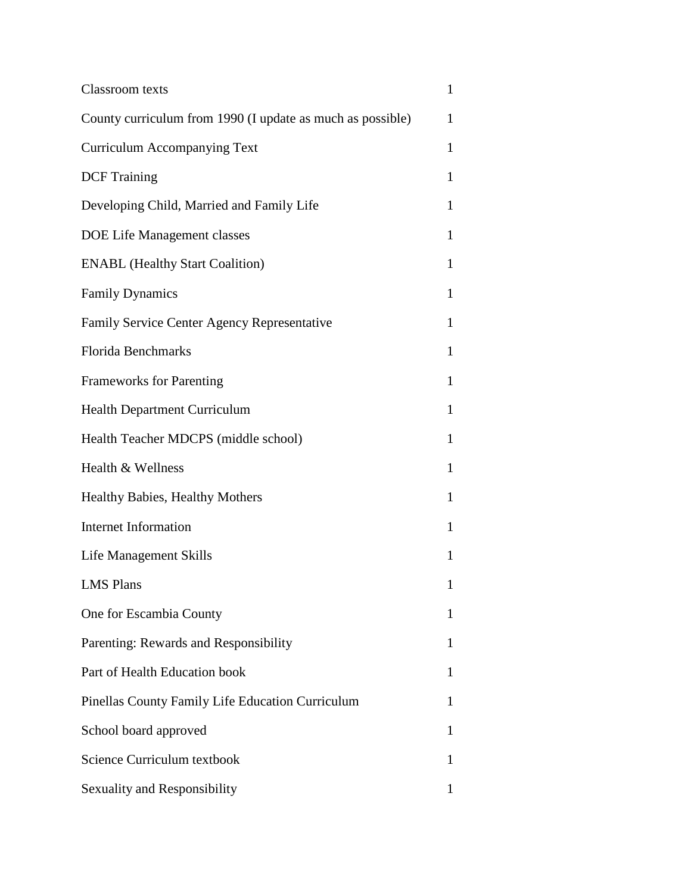| <b>Classroom</b> texts                                     | $\mathbf{1}$  |
|------------------------------------------------------------|---------------|
| County curriculum from 1990 (I update as much as possible) | $\mathbf{1}$  |
| <b>Curriculum Accompanying Text</b>                        | $\mathbf{1}$  |
| <b>DCF</b> Training                                        | $\mathbf{1}$  |
| Developing Child, Married and Family Life                  | $\mathbf{1}$  |
| <b>DOE Life Management classes</b>                         | $\mathbf{1}$  |
| <b>ENABL (Healthy Start Coalition)</b>                     | $\mathbf{1}$  |
| <b>Family Dynamics</b>                                     | $\mathbf{1}$  |
| Family Service Center Agency Representative                | 1             |
| <b>Florida Benchmarks</b>                                  | $\mathbf{1}$  |
| <b>Frameworks for Parenting</b>                            | $\mathbf{1}$  |
| <b>Health Department Curriculum</b>                        | $\mathbf{1}$  |
| Health Teacher MDCPS (middle school)                       | $\mathbf{1}$  |
| Health & Wellness                                          | $\mathbf{1}$  |
| Healthy Babies, Healthy Mothers                            | $\mathbf{1}$  |
| <b>Internet Information</b>                                | $\mathbf{1}$  |
| Life Management Skills                                     | 1             |
| <b>LMS Plans</b>                                           | $\mathbf{1}%$ |
| One for Escambia County                                    | 1             |
| Parenting: Rewards and Responsibility                      | 1             |
| Part of Health Education book                              | 1             |
| Pinellas County Family Life Education Curriculum           | 1             |
| School board approved                                      | 1             |
| Science Curriculum textbook                                | 1             |
| Sexuality and Responsibility                               | 1             |
|                                                            |               |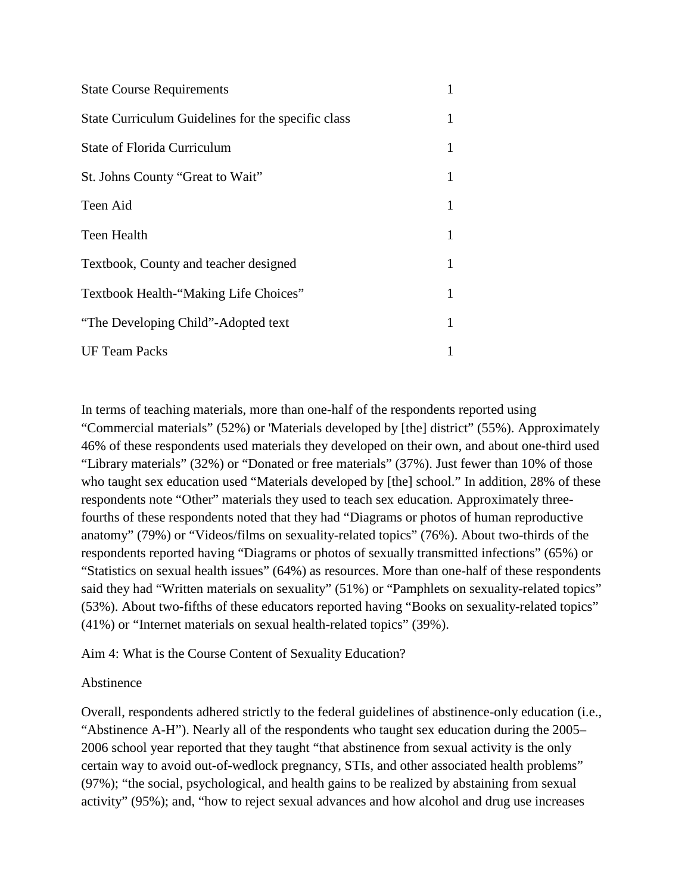| <b>State Course Requirements</b>                   |   |
|----------------------------------------------------|---|
| State Curriculum Guidelines for the specific class |   |
| <b>State of Florida Curriculum</b>                 | 1 |
| St. Johns County "Great to Wait"                   |   |
| Teen Aid                                           | 1 |
| Teen Health                                        | 1 |
| Textbook, County and teacher designed              | 1 |
| Textbook Health-"Making Life Choices"              | 1 |
| "The Developing Child"-Adopted text                |   |
| <b>UF Team Packs</b>                               |   |

In terms of teaching materials, more than one-half of the respondents reported using "Commercial materials" (52%) or 'Materials developed by [the] district" (55%). Approximately 46% of these respondents used materials they developed on their own, and about one-third used "Library materials" (32%) or "Donated or free materials" (37%). Just fewer than 10% of those who taught sex education used "Materials developed by [the] school." In addition, 28% of these respondents note "Other" materials they used to teach sex education. Approximately threefourths of these respondents noted that they had "Diagrams or photos of human reproductive anatomy" (79%) or "Videos/films on sexuality-related topics" (76%). About two-thirds of the respondents reported having "Diagrams or photos of sexually transmitted infections" (65%) or "Statistics on sexual health issues" (64%) as resources. More than one-half of these respondents said they had "Written materials on sexuality" (51%) or "Pamphlets on sexuality-related topics" (53%). About two-fifths of these educators reported having "Books on sexuality-related topics" (41%) or "Internet materials on sexual health-related topics" (39%).

Aim 4: What is the Course Content of Sexuality Education?

## Abstinence

Overall, respondents adhered strictly to the federal guidelines of abstinence-only education (i.e., "Abstinence A-H"). Nearly all of the respondents who taught sex education during the 2005– 2006 school year reported that they taught "that abstinence from sexual activity is the only certain way to avoid out-of-wedlock pregnancy, STIs, and other associated health problems" (97%); "the social, psychological, and health gains to be realized by abstaining from sexual activity" (95%); and, "how to reject sexual advances and how alcohol and drug use increases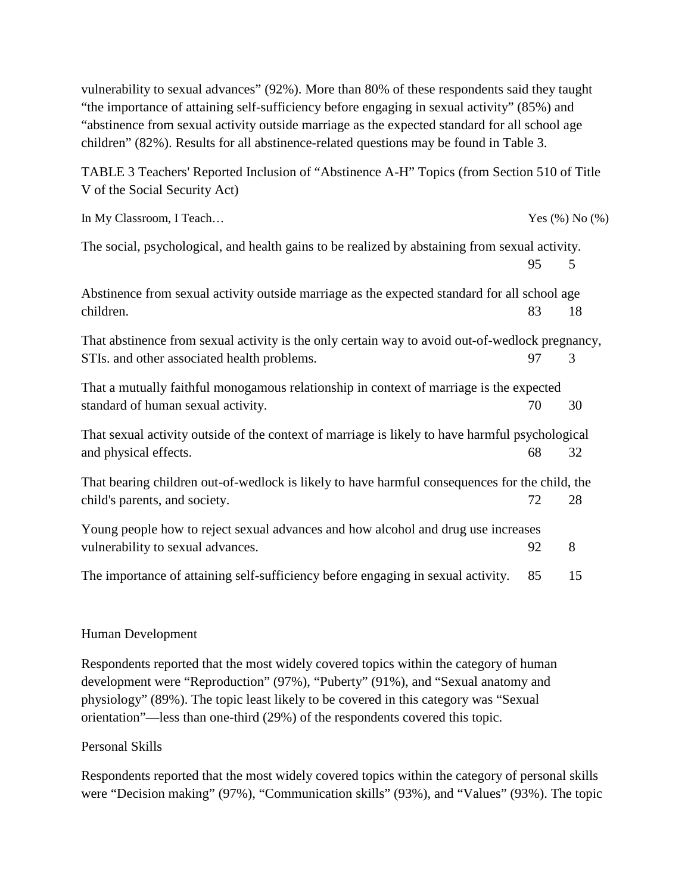vulnerability to sexual advances" (92%). More than 80% of these respondents said they taught "the importance of attaining self-sufficiency before engaging in sexual activity" (85%) and "abstinence from sexual activity outside marriage as the expected standard for all school age children" (82%). Results for all abstinence-related questions may be found in Table 3.

TABLE 3 Teachers' Reported Inclusion of "Abstinence A-H" Topics (from Section 510 of Title V of the Social Security Act)

| In My Classroom, I Teach                                                                        |    | Yes (%) No (%) |
|-------------------------------------------------------------------------------------------------|----|----------------|
| The social, psychological, and health gains to be realized by abstaining from sexual activity.  |    |                |
|                                                                                                 | 95 | 5              |
| Abstinence from sexual activity outside marriage as the expected standard for all school age    |    |                |
| children.                                                                                       | 83 | 18             |
| That abstinence from sexual activity is the only certain way to avoid out-of-wedlock pregnancy, |    |                |
| STIs. and other associated health problems.                                                     | 97 | 3              |
| That a mutually faithful monogamous relationship in context of marriage is the expected         |    |                |
| standard of human sexual activity.                                                              | 70 | 30             |
| That sexual activity outside of the context of marriage is likely to have harmful psychological |    |                |
| and physical effects.                                                                           | 68 | 32             |
| That bearing children out-of-wedlock is likely to have harmful consequences for the child, the  |    |                |
| child's parents, and society.                                                                   | 72 | 28             |
| Young people how to reject sexual advances and how alcohol and drug use increases               |    |                |
| vulnerability to sexual advances.                                                               | 92 | 8              |
| The importance of attaining self-sufficiency before engaging in sexual activity.                | 85 | 15             |

## Human Development

Respondents reported that the most widely covered topics within the category of human development were "Reproduction" (97%), "Puberty" (91%), and "Sexual anatomy and physiology" (89%). The topic least likely to be covered in this category was "Sexual orientation"—less than one-third (29%) of the respondents covered this topic.

## Personal Skills

Respondents reported that the most widely covered topics within the category of personal skills were "Decision making" (97%), "Communication skills" (93%), and "Values" (93%). The topic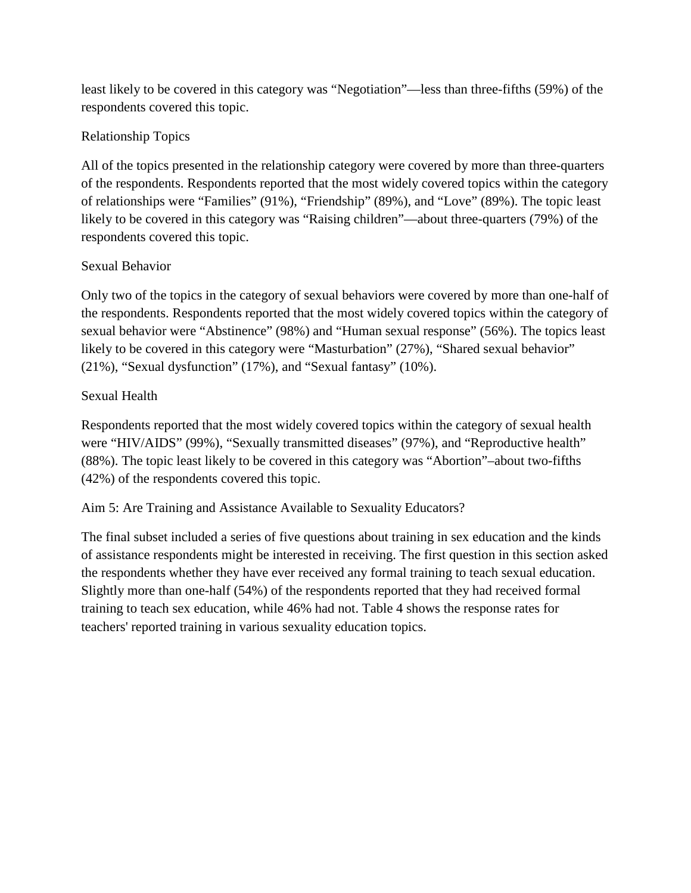least likely to be covered in this category was "Negotiation"—less than three-fifths (59%) of the respondents covered this topic.

# Relationship Topics

All of the topics presented in the relationship category were covered by more than three-quarters of the respondents. Respondents reported that the most widely covered topics within the category of relationships were "Families" (91%), "Friendship" (89%), and "Love" (89%). The topic least likely to be covered in this category was "Raising children"—about three-quarters (79%) of the respondents covered this topic.

# Sexual Behavior

Only two of the topics in the category of sexual behaviors were covered by more than one-half of the respondents. Respondents reported that the most widely covered topics within the category of sexual behavior were "Abstinence" (98%) and "Human sexual response" (56%). The topics least likely to be covered in this category were "Masturbation" (27%), "Shared sexual behavior" (21%), "Sexual dysfunction" (17%), and "Sexual fantasy" (10%).

# Sexual Health

Respondents reported that the most widely covered topics within the category of sexual health were "HIV/AIDS" (99%), "Sexually transmitted diseases" (97%), and "Reproductive health" (88%). The topic least likely to be covered in this category was "Abortion"–about two-fifths (42%) of the respondents covered this topic.

# Aim 5: Are Training and Assistance Available to Sexuality Educators?

The final subset included a series of five questions about training in sex education and the kinds of assistance respondents might be interested in receiving. The first question in this section asked the respondents whether they have ever received any formal training to teach sexual education. Slightly more than one-half (54%) of the respondents reported that they had received formal training to teach sex education, while 46% had not. Table 4 shows the response rates for teachers' reported training in various sexuality education topics.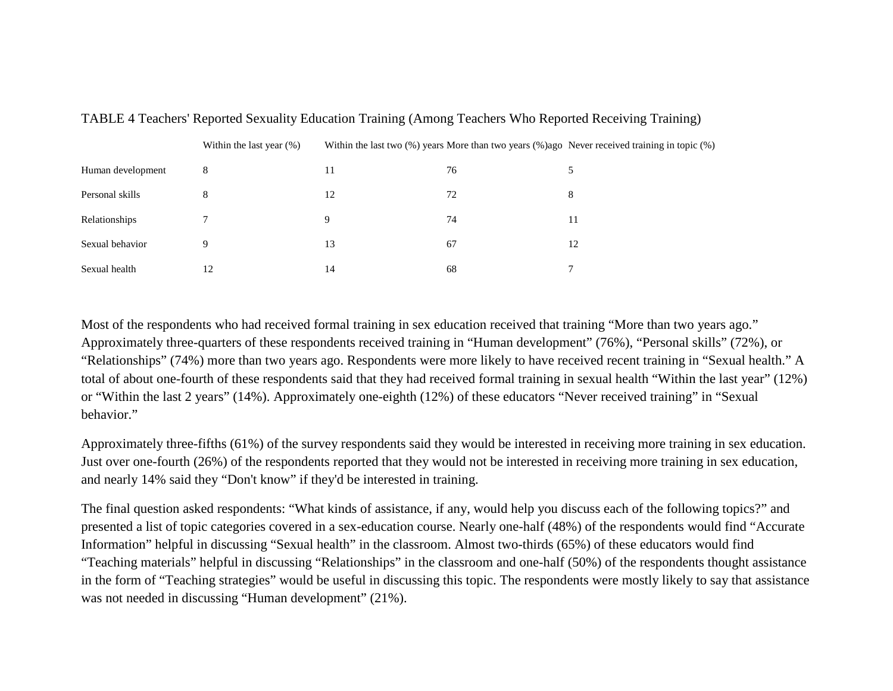|                   | Within the last year $(\%)$ |    |    | Within the last two (%) years More than two years (%)ago Never received training in topic (%) |
|-------------------|-----------------------------|----|----|-----------------------------------------------------------------------------------------------|
| Human development | 8                           | 11 | 76 |                                                                                               |
| Personal skills   | 8                           | 12 | 72 | 8                                                                                             |
| Relationships     |                             |    | 74 | 11                                                                                            |
| Sexual behavior   | 9                           | 13 | 67 | 12                                                                                            |
| Sexual health     | 12                          | 14 | 68 |                                                                                               |

## TABLE 4 Teachers' Reported Sexuality Education Training (Among Teachers Who Reported Receiving Training)

Most of the respondents who had received formal training in sex education received that training "More than two years ago." Approximately three-quarters of these respondents received training in "Human development" (76%), "Personal skills" (72%), or "Relationships" (74%) more than two years ago. Respondents were more likely to have received recent training in "Sexual health." A total of about one-fourth of these respondents said that they had received formal training in sexual health "Within the last year" (12%) or "Within the last 2 years" (14%). Approximately one-eighth (12%) of these educators "Never received training" in "Sexual behavior."

Approximately three-fifths (61%) of the survey respondents said they would be interested in receiving more training in sex education. Just over one-fourth (26%) of the respondents reported that they would not be interested in receiving more training in sex education, and nearly 14% said they "Don't know" if they'd be interested in training.

The final question asked respondents: "What kinds of assistance, if any, would help you discuss each of the following topics?" and presented a list of topic categories covered in a sex-education course. Nearly one-half (48%) of the respondents would find "Accurate Information" helpful in discussing "Sexual health" in the classroom. Almost two-thirds (65%) of these educators would find "Teaching materials" helpful in discussing "Relationships" in the classroom and one-half (50%) of the respondents thought assistance in the form of "Teaching strategies" would be useful in discussing this topic. The respondents were mostly likely to say that assistance was not needed in discussing "Human development" (21%).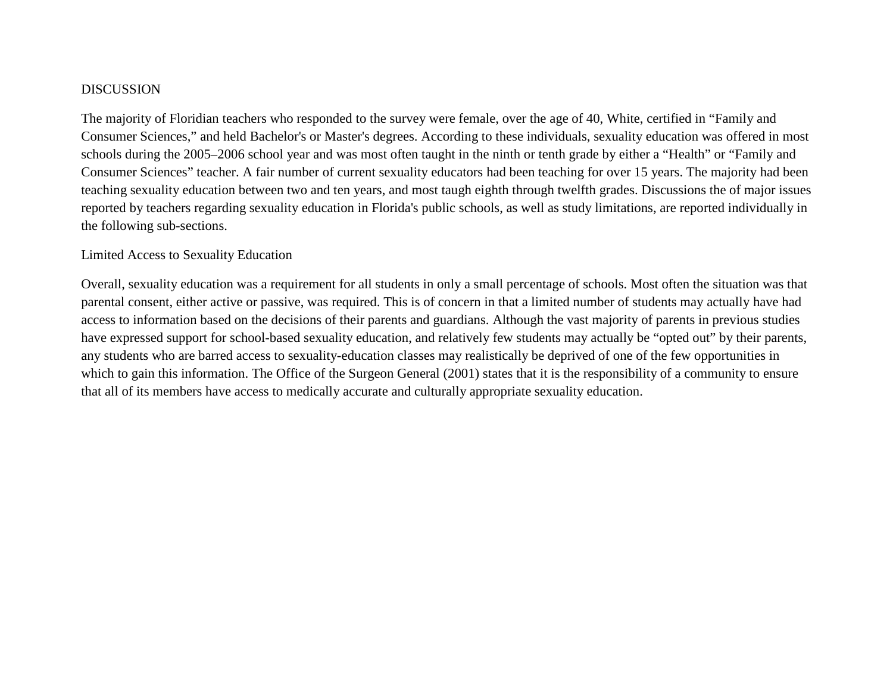#### DISCUSSION

The majority of Floridian teachers who responded to the survey were female, over the age of 40, White, certified in "Family and Consumer Sciences," and held Bachelor's or Master's degrees. According to these individuals, sexuality education was offered in most schools during the 2005–2006 school year and was most often taught in the ninth or tenth grade by either a "Health" or "Family and Consumer Sciences" teacher. A fair number of current sexuality educators had been teaching for over 15 years. The majority had been teaching sexuality education between two and ten years, and most taugh eighth through twelfth grades. Discussions the of major issues reported by teachers regarding sexuality education in Florida's public schools, as well as study limitations, are reported individually in the following sub-sections.

#### Limited Access to Sexuality Education

Overall, sexuality education was a requirement for all students in only a small percentage of schools. Most often the situation was that parental consent, either active or passive, was required. This is of concern in that a limited number of students may actually have had access to information based on the decisions of their parents and guardians. Although the vast majority of parents in previous studies have expressed support for school-based sexuality education, and relatively few students may actually be "opted out" by their parents, any students who are barred access to sexuality-education classes may realistically be deprived of one of the few opportunities in which to gain this information. The Office of the Surgeon General (2001) states that it is the responsibility of a community to ensure that all of its members have access to medically accurate and culturally appropriate sexuality education.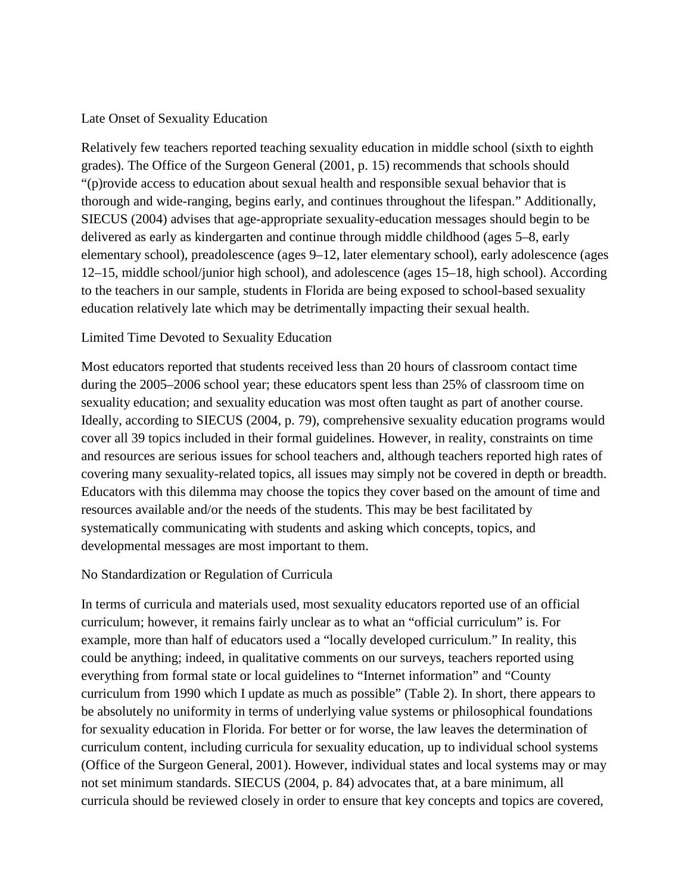#### Late Onset of Sexuality Education

Relatively few teachers reported teaching sexuality education in middle school (sixth to eighth grades). The Office of the Surgeon General (2001, p. 15) recommends that schools should "(p)rovide access to education about sexual health and responsible sexual behavior that is thorough and wide-ranging, begins early, and continues throughout the lifespan." Additionally, SIECUS (2004) advises that age-appropriate sexuality-education messages should begin to be delivered as early as kindergarten and continue through middle childhood (ages 5–8, early elementary school), preadolescence (ages 9–12, later elementary school), early adolescence (ages 12–15, middle school/junior high school), and adolescence (ages 15–18, high school). According to the teachers in our sample, students in Florida are being exposed to school-based sexuality education relatively late which may be detrimentally impacting their sexual health.

## Limited Time Devoted to Sexuality Education

Most educators reported that students received less than 20 hours of classroom contact time during the 2005–2006 school year; these educators spent less than 25% of classroom time on sexuality education; and sexuality education was most often taught as part of another course. Ideally, according to SIECUS (2004, p. 79), comprehensive sexuality education programs would cover all 39 topics included in their formal guidelines. However, in reality, constraints on time and resources are serious issues for school teachers and, although teachers reported high rates of covering many sexuality-related topics, all issues may simply not be covered in depth or breadth. Educators with this dilemma may choose the topics they cover based on the amount of time and resources available and/or the needs of the students. This may be best facilitated by systematically communicating with students and asking which concepts, topics, and developmental messages are most important to them.

#### No Standardization or Regulation of Curricula

In terms of curricula and materials used, most sexuality educators reported use of an official curriculum; however, it remains fairly unclear as to what an "official curriculum" is. For example, more than half of educators used a "locally developed curriculum." In reality, this could be anything; indeed, in qualitative comments on our surveys, teachers reported using everything from formal state or local guidelines to "Internet information" and "County curriculum from 1990 which I update as much as possible" (Table 2). In short, there appears to be absolutely no uniformity in terms of underlying value systems or philosophical foundations for sexuality education in Florida. For better or for worse, the law leaves the determination of curriculum content, including curricula for sexuality education, up to individual school systems (Office of the Surgeon General, 2001). However, individual states and local systems may or may not set minimum standards. SIECUS (2004, p. 84) advocates that, at a bare minimum, all curricula should be reviewed closely in order to ensure that key concepts and topics are covered,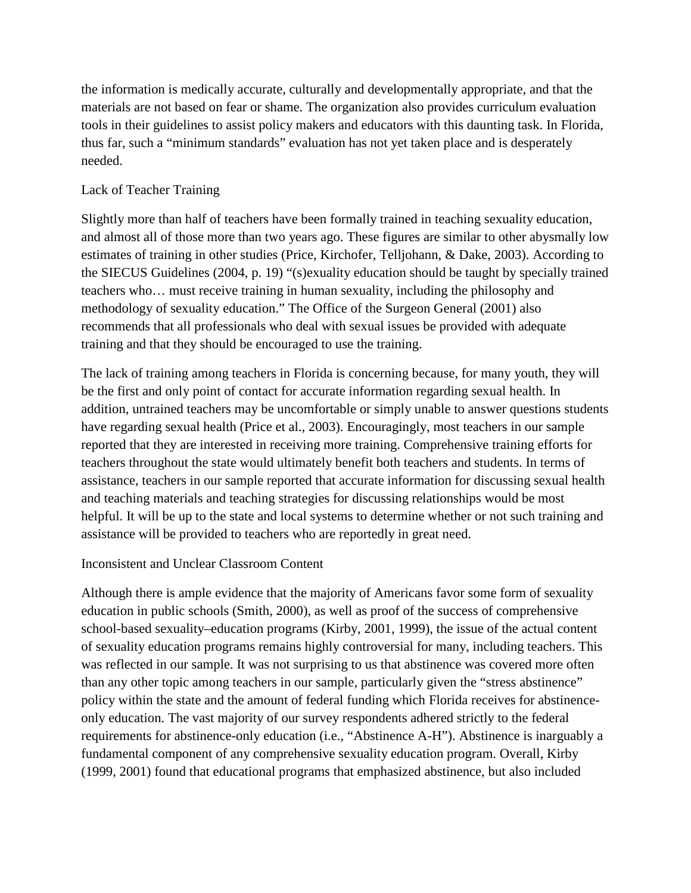the information is medically accurate, culturally and developmentally appropriate, and that the materials are not based on fear or shame. The organization also provides curriculum evaluation tools in their guidelines to assist policy makers and educators with this daunting task. In Florida, thus far, such a "minimum standards" evaluation has not yet taken place and is desperately needed.

## Lack of Teacher Training

Slightly more than half of teachers have been formally trained in teaching sexuality education, and almost all of those more than two years ago. These figures are similar to other abysmally low estimates of training in other studies (Price, Kirchofer, Telljohann, & Dake, 2003). According to the SIECUS Guidelines (2004, p. 19) "(s)exuality education should be taught by specially trained teachers who… must receive training in human sexuality, including the philosophy and methodology of sexuality education." The Office of the Surgeon General (2001) also recommends that all professionals who deal with sexual issues be provided with adequate training and that they should be encouraged to use the training.

The lack of training among teachers in Florida is concerning because, for many youth, they will be the first and only point of contact for accurate information regarding sexual health. In addition, untrained teachers may be uncomfortable or simply unable to answer questions students have regarding sexual health (Price et al., 2003). Encouragingly, most teachers in our sample reported that they are interested in receiving more training. Comprehensive training efforts for teachers throughout the state would ultimately benefit both teachers and students. In terms of assistance, teachers in our sample reported that accurate information for discussing sexual health and teaching materials and teaching strategies for discussing relationships would be most helpful. It will be up to the state and local systems to determine whether or not such training and assistance will be provided to teachers who are reportedly in great need.

## Inconsistent and Unclear Classroom Content

Although there is ample evidence that the majority of Americans favor some form of sexuality education in public schools (Smith, 2000), as well as proof of the success of comprehensive school-based sexuality–education programs (Kirby, 2001, 1999), the issue of the actual content of sexuality education programs remains highly controversial for many, including teachers. This was reflected in our sample. It was not surprising to us that abstinence was covered more often than any other topic among teachers in our sample, particularly given the "stress abstinence" policy within the state and the amount of federal funding which Florida receives for abstinenceonly education. The vast majority of our survey respondents adhered strictly to the federal requirements for abstinence-only education (i.e., "Abstinence A-H"). Abstinence is inarguably a fundamental component of any comprehensive sexuality education program. Overall, Kirby (1999, 2001) found that educational programs that emphasized abstinence, but also included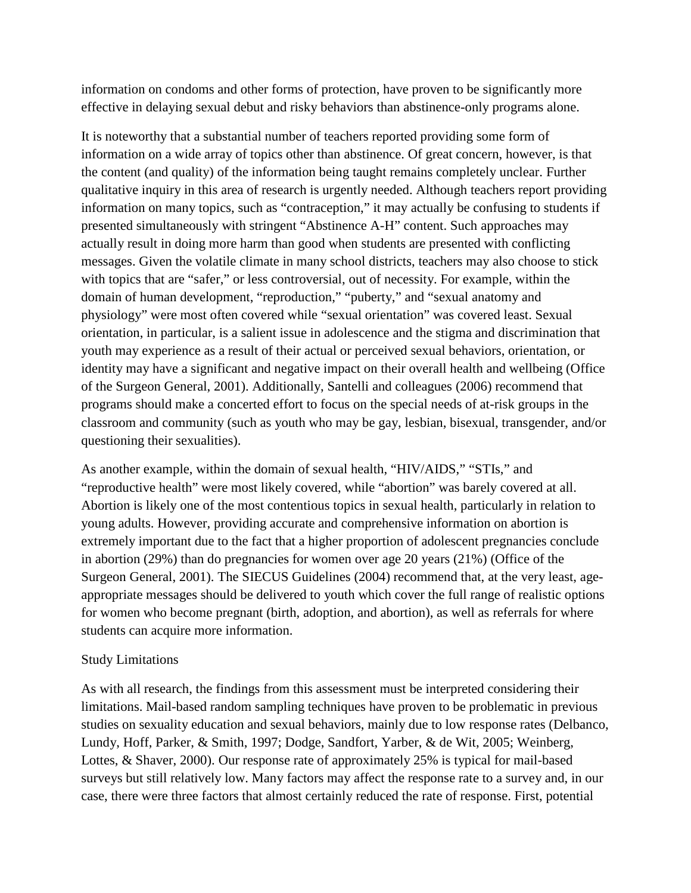information on condoms and other forms of protection, have proven to be significantly more effective in delaying sexual debut and risky behaviors than abstinence-only programs alone.

It is noteworthy that a substantial number of teachers reported providing some form of information on a wide array of topics other than abstinence. Of great concern, however, is that the content (and quality) of the information being taught remains completely unclear. Further qualitative inquiry in this area of research is urgently needed. Although teachers report providing information on many topics, such as "contraception," it may actually be confusing to students if presented simultaneously with stringent "Abstinence A-H" content. Such approaches may actually result in doing more harm than good when students are presented with conflicting messages. Given the volatile climate in many school districts, teachers may also choose to stick with topics that are "safer," or less controversial, out of necessity. For example, within the domain of human development, "reproduction," "puberty," and "sexual anatomy and physiology" were most often covered while "sexual orientation" was covered least. Sexual orientation, in particular, is a salient issue in adolescence and the stigma and discrimination that youth may experience as a result of their actual or perceived sexual behaviors, orientation, or identity may have a significant and negative impact on their overall health and wellbeing (Office of the Surgeon General, 2001). Additionally, Santelli and colleagues (2006) recommend that programs should make a concerted effort to focus on the special needs of at-risk groups in the classroom and community (such as youth who may be gay, lesbian, bisexual, transgender, and/or questioning their sexualities).

As another example, within the domain of sexual health, "HIV/AIDS," "STIs," and "reproductive health" were most likely covered, while "abortion" was barely covered at all. Abortion is likely one of the most contentious topics in sexual health, particularly in relation to young adults. However, providing accurate and comprehensive information on abortion is extremely important due to the fact that a higher proportion of adolescent pregnancies conclude in abortion (29%) than do pregnancies for women over age 20 years (21%) (Office of the Surgeon General, 2001). The SIECUS Guidelines (2004) recommend that, at the very least, ageappropriate messages should be delivered to youth which cover the full range of realistic options for women who become pregnant (birth, adoption, and abortion), as well as referrals for where students can acquire more information.

#### Study Limitations

As with all research, the findings from this assessment must be interpreted considering their limitations. Mail-based random sampling techniques have proven to be problematic in previous studies on sexuality education and sexual behaviors, mainly due to low response rates (Delbanco, Lundy, Hoff, Parker, & Smith, 1997; Dodge, Sandfort, Yarber, & de Wit, 2005; Weinberg, Lottes, & Shaver, 2000). Our response rate of approximately 25% is typical for mail-based surveys but still relatively low. Many factors may affect the response rate to a survey and, in our case, there were three factors that almost certainly reduced the rate of response. First, potential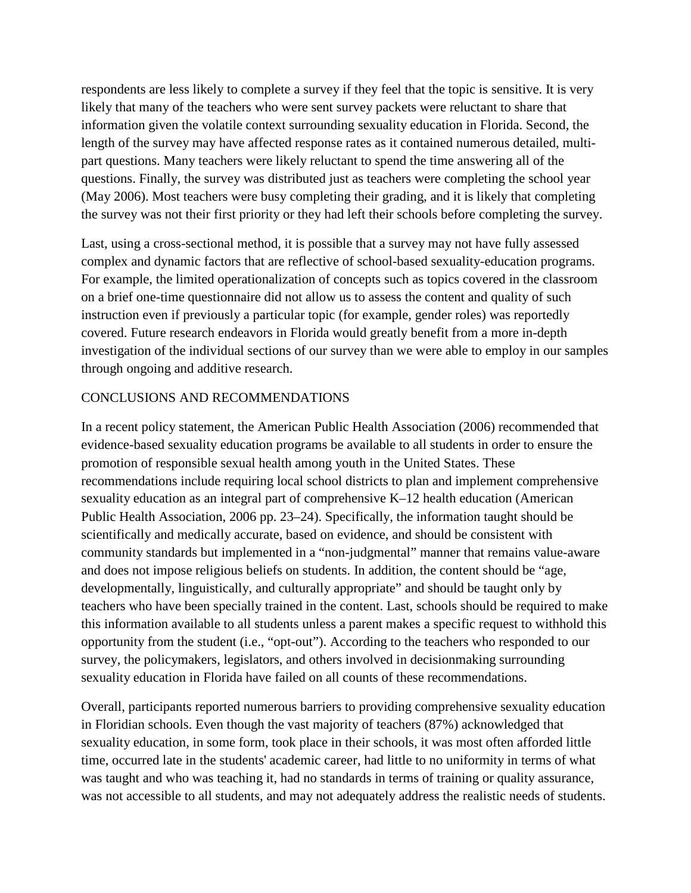respondents are less likely to complete a survey if they feel that the topic is sensitive. It is very likely that many of the teachers who were sent survey packets were reluctant to share that information given the volatile context surrounding sexuality education in Florida. Second, the length of the survey may have affected response rates as it contained numerous detailed, multipart questions. Many teachers were likely reluctant to spend the time answering all of the questions. Finally, the survey was distributed just as teachers were completing the school year (May 2006). Most teachers were busy completing their grading, and it is likely that completing the survey was not their first priority or they had left their schools before completing the survey.

Last, using a cross-sectional method, it is possible that a survey may not have fully assessed complex and dynamic factors that are reflective of school-based sexuality-education programs. For example, the limited operationalization of concepts such as topics covered in the classroom on a brief one-time questionnaire did not allow us to assess the content and quality of such instruction even if previously a particular topic (for example, gender roles) was reportedly covered. Future research endeavors in Florida would greatly benefit from a more in-depth investigation of the individual sections of our survey than we were able to employ in our samples through ongoing and additive research.

#### CONCLUSIONS AND RECOMMENDATIONS

In a recent policy statement, the American Public Health Association (2006) recommended that evidence-based sexuality education programs be available to all students in order to ensure the promotion of responsible sexual health among youth in the United States. These recommendations include requiring local school districts to plan and implement comprehensive sexuality education as an integral part of comprehensive K–12 health education (American Public Health Association, 2006 pp. 23–24). Specifically, the information taught should be scientifically and medically accurate, based on evidence, and should be consistent with community standards but implemented in a "non-judgmental" manner that remains value-aware and does not impose religious beliefs on students. In addition, the content should be "age, developmentally, linguistically, and culturally appropriate" and should be taught only by teachers who have been specially trained in the content. Last, schools should be required to make this information available to all students unless a parent makes a specific request to withhold this opportunity from the student (i.e., "opt-out"). According to the teachers who responded to our survey, the policymakers, legislators, and others involved in decisionmaking surrounding sexuality education in Florida have failed on all counts of these recommendations.

Overall, participants reported numerous barriers to providing comprehensive sexuality education in Floridian schools. Even though the vast majority of teachers (87%) acknowledged that sexuality education, in some form, took place in their schools, it was most often afforded little time, occurred late in the students' academic career, had little to no uniformity in terms of what was taught and who was teaching it, had no standards in terms of training or quality assurance, was not accessible to all students, and may not adequately address the realistic needs of students.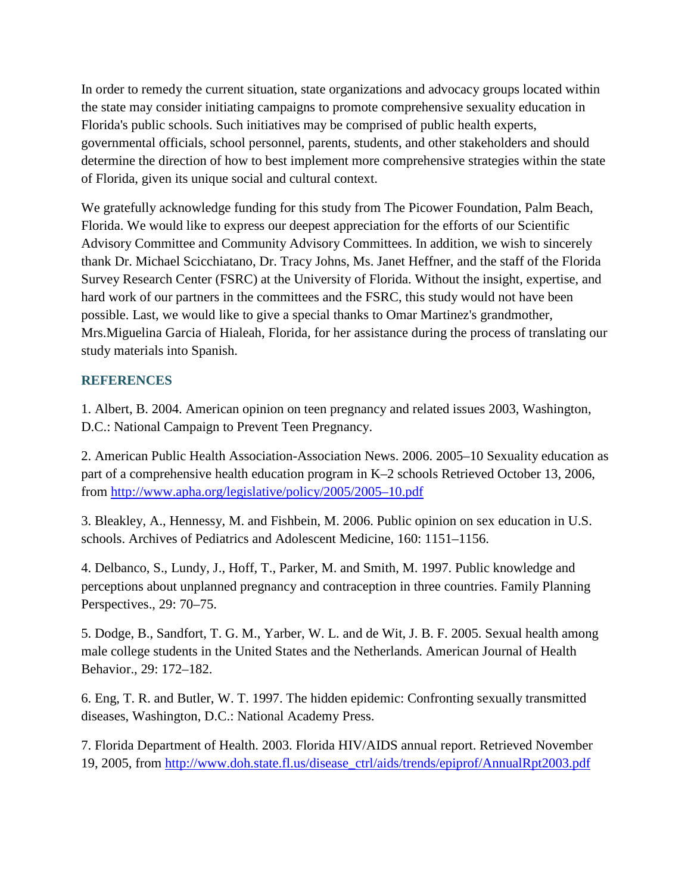In order to remedy the current situation, state organizations and advocacy groups located within the state may consider initiating campaigns to promote comprehensive sexuality education in Florida's public schools. Such initiatives may be comprised of public health experts, governmental officials, school personnel, parents, students, and other stakeholders and should determine the direction of how to best implement more comprehensive strategies within the state of Florida, given its unique social and cultural context.

We gratefully acknowledge funding for this study from The Picower Foundation, Palm Beach, Florida. We would like to express our deepest appreciation for the efforts of our Scientific Advisory Committee and Community Advisory Committees. In addition, we wish to sincerely thank Dr. Michael Scicchiatano, Dr. Tracy Johns, Ms. Janet Heffner, and the staff of the Florida Survey Research Center (FSRC) at the University of Florida. Without the insight, expertise, and hard work of our partners in the committees and the FSRC, this study would not have been possible. Last, we would like to give a special thanks to Omar Martinez's grandmother, Mrs.Miguelina Garcia of Hialeah, Florida, for her assistance during the process of translating our study materials into Spanish.

## **REFERENCES**

1. Albert, B. 2004. American opinion on teen pregnancy and related issues 2003, Washington, D.C.: National Campaign to Prevent Teen Pregnancy.

2. American Public Health Association-Association News. 2006. 2005–10 Sexuality education as part of a comprehensive health education program in K–2 schools Retrieved October 13, 2006, from<http://www.apha.org/legislative/policy/2005/2005–10.pdf>

3. Bleakley, A., Hennessy, M. and Fishbein, M. 2006. Public opinion on sex education in U.S. schools. Archives of Pediatrics and Adolescent Medicine, 160: 1151–1156.

4. Delbanco, S., Lundy, J., Hoff, T., Parker, M. and Smith, M. 1997. Public knowledge and perceptions about unplanned pregnancy and contraception in three countries. Family Planning Perspectives., 29: 70–75.

5. Dodge, B., Sandfort, T. G. M., Yarber, W. L. and de Wit, J. B. F. 2005. Sexual health among male college students in the United States and the Netherlands. American Journal of Health Behavior., 29: 172–182.

6. Eng, T. R. and Butler, W. T. 1997. The hidden epidemic: Confronting sexually transmitted diseases, Washington, D.C.: National Academy Press.

7. Florida Department of Health. 2003. Florida HIV/AIDS annual report. Retrieved November 19, 2005, from [http://www.doh.state.fl.us/disease\\_ctrl/aids/trends/epiprof/AnnualRpt2003.pdf](http://www.doh.state.fl.us/disease_ctrl/aids/trends/epiprof/AnnualRpt2003.pdf)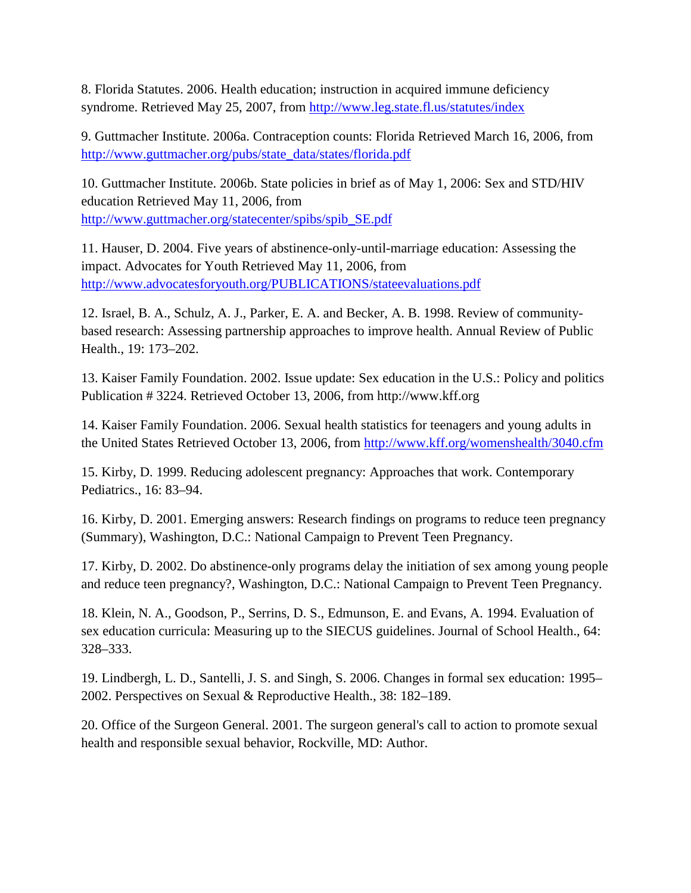8. Florida Statutes. 2006. Health education; instruction in acquired immune deficiency syndrome. Retrieved May 25, 2007, from<http://www.leg.state.fl.us/statutes/index>

9. Guttmacher Institute. 2006a. Contraception counts: Florida Retrieved March 16, 2006, from [http://www.guttmacher.org/pubs/state\\_data/states/florida.pdf](http://www.guttmacher.org/pubs/state_data/states/florida.pdf)

10. Guttmacher Institute. 2006b. State policies in brief as of May 1, 2006: Sex and STD/HIV education Retrieved May 11, 2006, from [http://www.guttmacher.org/statecenter/spibs/spib\\_SE.pdf](http://www.guttmacher.org/statecenter/spibs/spib_SE.pdf)

11. Hauser, D. 2004. Five years of abstinence-only-until-marriage education: Assessing the impact. Advocates for Youth Retrieved May 11, 2006, from <http://www.advocatesforyouth.org/PUBLICATIONS/stateevaluations.pdf>

12. Israel, B. A., Schulz, A. J., Parker, E. A. and Becker, A. B. 1998. Review of communitybased research: Assessing partnership approaches to improve health. Annual Review of Public Health., 19: 173–202.

13. Kaiser Family Foundation. 2002. Issue update: Sex education in the U.S.: Policy and politics Publication # 3224. Retrieved October 13, 2006, from http://www.kff.org

14. Kaiser Family Foundation. 2006. Sexual health statistics for teenagers and young adults in the United States Retrieved October 13, 2006, from<http://www.kff.org/womenshealth/3040.cfm>

15. Kirby, D. 1999. Reducing adolescent pregnancy: Approaches that work. Contemporary Pediatrics., 16: 83–94.

16. Kirby, D. 2001. Emerging answers: Research findings on programs to reduce teen pregnancy (Summary), Washington, D.C.: National Campaign to Prevent Teen Pregnancy.

17. Kirby, D. 2002. Do abstinence-only programs delay the initiation of sex among young people and reduce teen pregnancy?, Washington, D.C.: National Campaign to Prevent Teen Pregnancy.

18. Klein, N. A., Goodson, P., Serrins, D. S., Edmunson, E. and Evans, A. 1994. Evaluation of sex education curricula: Measuring up to the SIECUS guidelines. Journal of School Health., 64: 328–333.

19. Lindbergh, L. D., Santelli, J. S. and Singh, S. 2006. Changes in formal sex education: 1995– 2002. Perspectives on Sexual & Reproductive Health., 38: 182–189.

20. Office of the Surgeon General. 2001. The surgeon general's call to action to promote sexual health and responsible sexual behavior, Rockville, MD: Author.